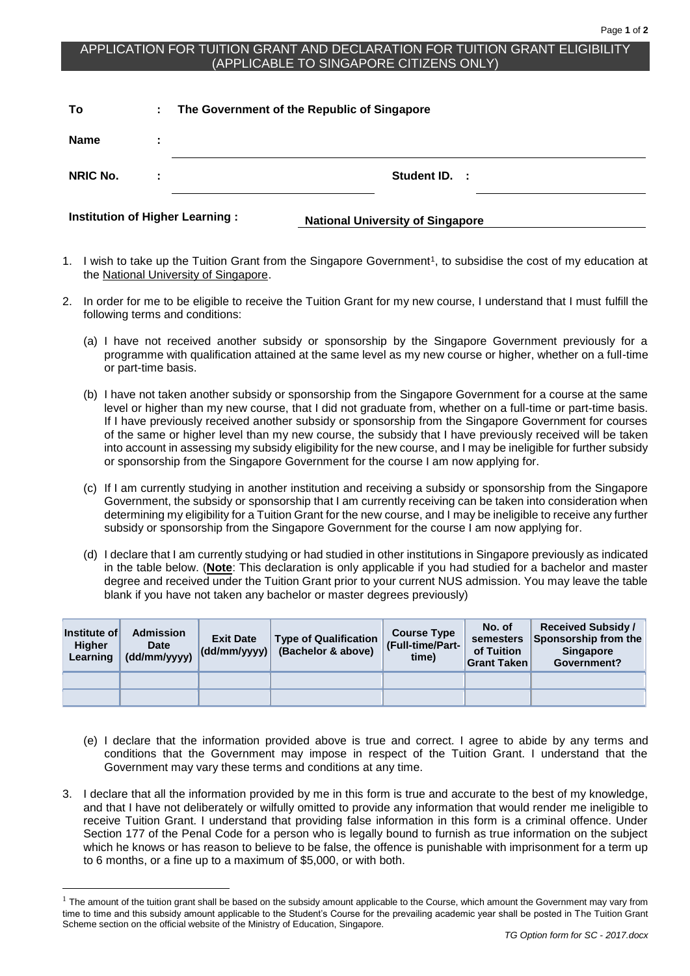## APPLICATION FOR TUITION GRANT AND DECLARATION FOR TUITION GRANT ELIGIBILITY (APPLICABLE TO SINGAPORE CITIZENS ONLY)

| To                                     | ÷. | The Government of the Republic of Singapore |  |  |  |  |
|----------------------------------------|----|---------------------------------------------|--|--|--|--|
| <b>Name</b>                            | ÷  |                                             |  |  |  |  |
| NRIC No.                               |    | Student ID.<br>- 1                          |  |  |  |  |
| <b>Institution of Higher Learning:</b> |    | <b>National University of Singapore</b>     |  |  |  |  |

- 1. I wish to take up the Tuition Grant from the Singapore Government<sup>1</sup>, to subsidise the cost of my education at the National University of Singapore.
- 2. In order for me to be eligible to receive the Tuition Grant for my new course, I understand that I must fulfill the following terms and conditions:
	- (a) I have not received another subsidy or sponsorship by the Singapore Government previously for a programme with qualification attained at the same level as my new course or higher, whether on a full-time or part-time basis.
	- (b) I have not taken another subsidy or sponsorship from the Singapore Government for a course at the same level or higher than my new course, that I did not graduate from, whether on a full-time or part-time basis. If I have previously received another subsidy or sponsorship from the Singapore Government for courses of the same or higher level than my new course, the subsidy that I have previously received will be taken into account in assessing my subsidy eligibility for the new course, and I may be ineligible for further subsidy or sponsorship from the Singapore Government for the course I am now applying for.
	- (c) If I am currently studying in another institution and receiving a subsidy or sponsorship from the Singapore Government, the subsidy or sponsorship that I am currently receiving can be taken into consideration when determining my eligibility for a Tuition Grant for the new course, and I may be ineligible to receive any further subsidy or sponsorship from the Singapore Government for the course I am now applying for.
	- (d) I declare that I am currently studying or had studied in other institutions in Singapore previously as indicated in the table below. (**Note**: This declaration is only applicable if you had studied for a bachelor and master degree and received under the Tuition Grant prior to your current NUS admission. You may leave the table blank if you have not taken any bachelor or master degrees previously)

| Institute of<br><b>Higher</b><br>Learning | <b>Admission</b><br><b>Date</b><br>(dd/mm/yyyy) | <b>Exit Date</b><br>$ $ (dd/mm/yyyy) $ $ | <b>Type of Qualification</b><br>(Bachelor & above) | <b>Course Type</b><br>(Full-time/Part-<br>time) | No. of<br>semesters<br>of Tuition<br><b>Grant Taken</b> | <b>Received Subsidy /</b><br>Sponsorship from the<br><b>Singapore</b><br>Government? |
|-------------------------------------------|-------------------------------------------------|------------------------------------------|----------------------------------------------------|-------------------------------------------------|---------------------------------------------------------|--------------------------------------------------------------------------------------|
|                                           |                                                 |                                          |                                                    |                                                 |                                                         |                                                                                      |
|                                           |                                                 |                                          |                                                    |                                                 |                                                         |                                                                                      |

- (e) I declare that the information provided above is true and correct. I agree to abide by any terms and conditions that the Government may impose in respect of the Tuition Grant. I understand that the Government may vary these terms and conditions at any time.
- 3. I declare that all the information provided by me in this form is true and accurate to the best of my knowledge, and that I have not deliberately or wilfully omitted to provide any information that would render me ineligible to receive Tuition Grant. I understand that providing false information in this form is a criminal offence. Under Section 177 of the Penal Code for a person who is legally bound to furnish as true information on the subject which he knows or has reason to believe to be false, the offence is punishable with imprisonment for a term up to 6 months, or a fine up to a maximum of \$5,000, or with both.

1

 $1$  The amount of the tuition grant shall be based on the subsidy amount applicable to the Course, which amount the Government may vary from time to time and this subsidy amount applicable to the Student's Course for the prevailing academic year shall be posted in The Tuition Grant Scheme section on the official website of the Ministry of Education, Singapore.